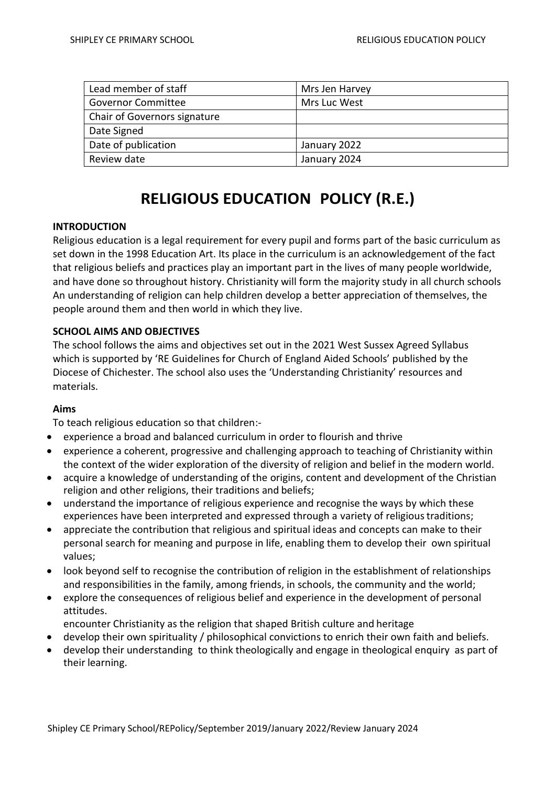| Lead member of staff         | Mrs Jen Harvey |
|------------------------------|----------------|
| <b>Governor Committee</b>    | Mrs Luc West   |
| Chair of Governors signature |                |
| Date Signed                  |                |
| Date of publication          | January 2022   |
| Review date                  | January 2024   |

# **RELIGIOUS EDUCATION POLICY (R.E.)**

# **INTRODUCTION**

Religious education is a legal requirement for every pupil and forms part of the basic curriculum as set down in the 1998 Education Art. Its place in the curriculum is an acknowledgement of the fact that religious beliefs and practices play an important part in the lives of many people worldwide, and have done so throughout history. Christianity will form the majority study in all church schools An understanding of religion can help children develop a better appreciation of themselves, the people around them and then world in which they live.

# **SCHOOL AIMS AND OBJECTIVES**

The school follows the aims and objectives set out in the 2021 West Sussex Agreed Syllabus which is supported by 'RE Guidelines for Church of England Aided Schools' published by the Diocese of Chichester. The school also uses the 'Understanding Christianity' resources and materials.

#### **Aims**

To teach religious education so that children:-

- experience a broad and balanced curriculum in order to flourish and thrive
- experience a coherent, progressive and challenging approach to teaching of Christianity within the context of the wider exploration of the diversity of religion and belief in the modern world.
- acquire a knowledge of understanding of the origins, content and development of the Christian religion and other religions, their traditions and beliefs;
- understand the importance of religious experience and recognise the ways by which these experiences have been interpreted and expressed through a variety of religioustraditions;
- appreciate the contribution that religious and spiritual ideas and concepts can make to their personal search for meaning and purpose in life, enabling them to develop their own spiritual values;
- look beyond self to recognise the contribution of religion in the establishment of relationships and responsibilities in the family, among friends, in schools, the community and the world;
- explore the consequences of religious belief and experience in the development of personal attitudes.
	- encounter Christianity as the religion that shaped British culture and heritage
- develop their own spirituality / philosophical convictions to enrich their own faith and beliefs.
- develop their understanding to think theologically and engage in theological enquiry as part of their learning.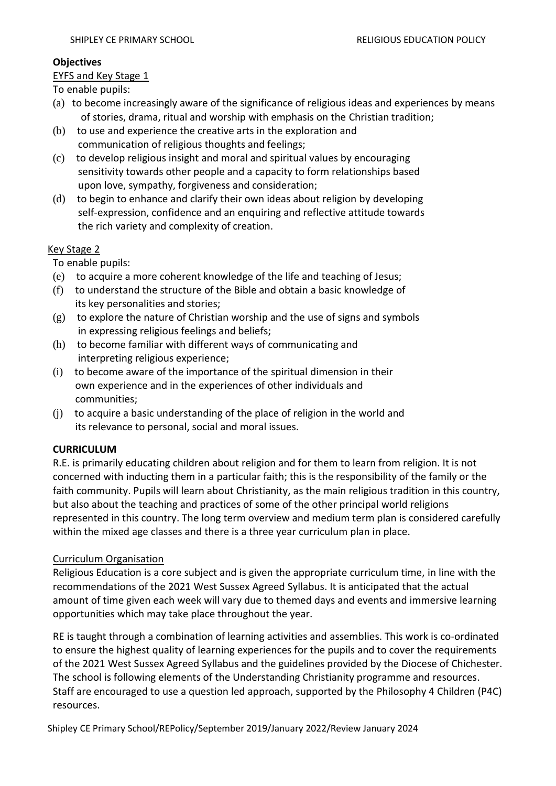# **Objectives**

# **EYFS and Key Stage 1**

To enable pupils:

- (a) to become increasingly aware of the significance of religious ideas and experiences by means of stories, drama, ritual and worship with emphasis on the Christian tradition;
- (b) to use and experience the creative arts in the exploration and communication of religious thoughts and feelings;
- (c) to develop religious insight and moral and spiritual values by encouraging sensitivity towards other people and a capacity to form relationships based upon love, sympathy, forgiveness and consideration;
- (d) to begin to enhance and clarify their own ideas about religion by developing self-expression, confidence and an enquiring and reflective attitude towards the rich variety and complexity of creation.

# Key Stage 2

To enable pupils:

- (e) to acquire a more coherent knowledge of the life and teaching of Jesus;
- (f) to understand the structure of the Bible and obtain a basic knowledge of its key personalities and stories;
- (g) to explore the nature of Christian worship and the use of signs and symbols in expressing religious feelings and beliefs;
- (h) to become familiar with different ways of communicating and interpreting religious experience;
- (i) to become aware of the importance of the spiritual dimension in their own experience and in the experiences of other individuals and communities;
- (j) to acquire a basic understanding of the place of religion in the world and its relevance to personal, social and moral issues.

# **CURRICULUM**

R.E. is primarily educating children about religion and for them to learn from religion. It is not concerned with inducting them in a particular faith; this is the responsibility of the family or the faith community. Pupils will learn about Christianity, as the main religious tradition in this country, but also about the teaching and practices of some of the other principal world religions represented in this country. The long term overview and medium term plan is considered carefully within the mixed age classes and there is a three year curriculum plan in place.

# Curriculum Organisation

Religious Education is a core subject and is given the appropriate curriculum time, in line with the recommendations of the 2021 West Sussex Agreed Syllabus. It is anticipated that the actual amount of time given each week will vary due to themed days and events and immersive learning opportunities which may take place throughout the year.

RE is taught through a combination of learning activities and assemblies. This work is co-ordinated to ensure the highest quality of learning experiences for the pupils and to cover the requirements of the 2021 West Sussex Agreed Syllabus and the guidelines provided by the Diocese of Chichester. The school is following elements of the Understanding Christianity programme and resources. Staff are encouraged to use a question led approach, supported by the Philosophy 4 Children (P4C) resources.

Shipley CE Primary School/REPolicy/September 2019/January 2022/Review January 2024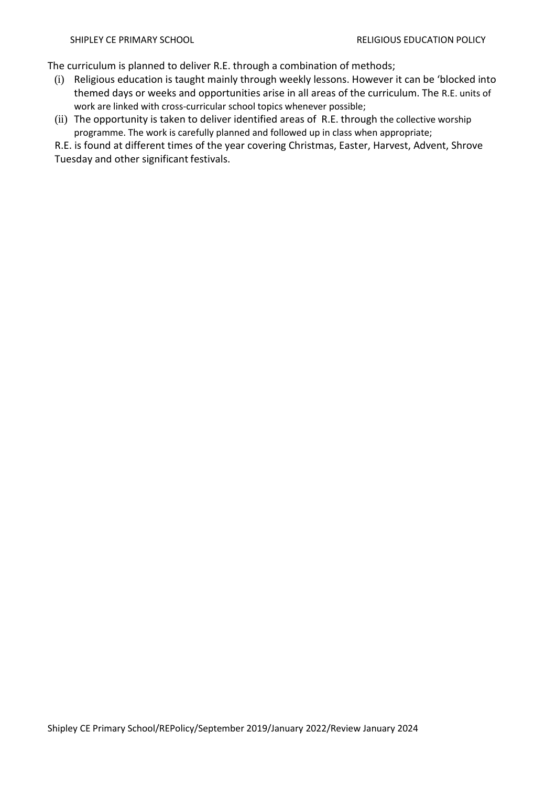The curriculum is planned to deliver R.E. through a combination of methods;

- (i) Religious education is taught mainly through weekly lessons. However it can be 'blocked into themed days or weeks and opportunities arise in all areas of the curriculum. The R.E. units of work are linked with cross-curricular school topics whenever possible;
- (ii) The opportunity is taken to deliver identified areas of R.E. through the collective worship programme. The work is carefully planned and followed up in class when appropriate;

R.E. is found at different times of the year covering Christmas, Easter, Harvest, Advent, Shrove Tuesday and other significant festivals.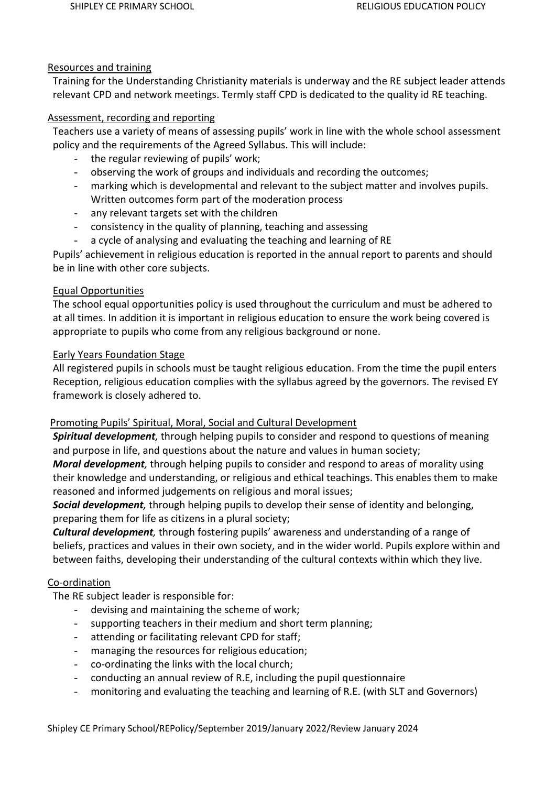#### Resources and training

Training for the Understanding Christianity materials is underway and the RE subject leader attends relevant CPD and network meetings. Termly staff CPD is dedicated to the quality id RE teaching.

#### Assessment, recording and reporting

Teachers use a variety of means of assessing pupils' work in line with the whole school assessment policy and the requirements of the Agreed Syllabus. This will include:

- the regular reviewing of pupils' work;
- observing the work of groups and individuals and recording the outcomes;
- marking which is developmental and relevant to the subject matter and involves pupils. Written outcomes form part of the moderation process
- any relevant targets set with the children
- consistency in the quality of planning, teaching and assessing
- a cycle of analysing and evaluating the teaching and learning of RE

Pupils' achievement in religious education is reported in the annual report to parents and should be in line with other core subjects.

# Equal Opportunities

The school equal opportunities policy is used throughout the curriculum and must be adhered to at all times. In addition it is important in religious education to ensure the work being covered is appropriate to pupils who come from any religious background or none.

# Early Years Foundation Stage

All registered pupils in schools must be taught religious education. From the time the pupil enters Reception, religious education complies with the syllabus agreed by the governors. The revised EY framework is closely adhered to.

# Promoting Pupils' Spiritual, Moral, Social and Cultural Development

*Spiritual development,* through helping pupils to consider and respond to questions of meaning and purpose in life, and questions about the nature and values in human society;

*Moral development,* through helping pupils to consider and respond to areas of morality using their knowledge and understanding, or religious and ethical teachings. This enables them to make reasoned and informed judgements on religious and moral issues;

*Social development,* through helping pupils to develop their sense of identity and belonging, preparing them for life as citizens in a plural society;

*Cultural development,* through fostering pupils' awareness and understanding of a range of beliefs, practices and values in their own society, and in the wider world. Pupils explore within and between faiths, developing their understanding of the cultural contexts within which they live.

#### Co-ordination

The RE subject leader is responsible for:

- devising and maintaining the scheme of work;
- supporting teachers in their medium and short term planning;
- attending or facilitating relevant CPD for staff;
- managing the resources for religious education;
- co-ordinating the links with the local church;
- conducting an annual review of R.E, including the pupil questionnaire
- monitoring and evaluating the teaching and learning of R.E. (with SLT and Governors)

Shipley CE Primary School/REPolicy/September 2019/January 2022/Review January 2024